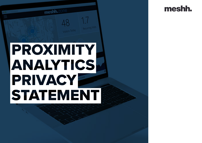

# PROXIMITY ANALYTICS PRIVACY STATEMENT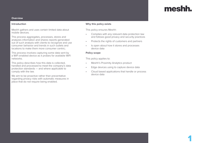# **Overview**

#### **Introduction**

Meshh gathers and uses certain limited data about mobile devices.

This process aggregates, processes, stores and analyzes information and shares reports generated out of such analysis with clients to recognize and use consumer behavior and trends in such outlets and locations to make them more consumer centric;

This process involves capturing some data sent by a WiFi enabled device as it probes for available WiFi networks.

This policy describes how this data is collected, handled and processed to meet the company's data protection standards — and where applicable to comply with the law.

We aim to be proactive rather than preventative regarding privacy risks with automatic measures in place that do not require being enabled.

### **Why this policy exists**

This policy ensures Meshh:

- Complies with any relevant data protection law and follows good privacy and security practices
- Protects the rights of customers and partners
- Is open about how it stores and processes device data

### **Policy scope**

This policy applies to:

- Meshh's Proximity Analytics product
- Edge devices using to capture device data
- Cloud based applications that handle or process device data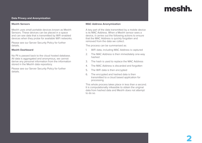#### **Data Privacy and Anonymization**

#### **Meshh Sensors**

Meshh uses small portable devices known as Meshh Sensors. These devices can be placed in a space and can see data that is transmitted by WiFi enabled devices when they probe for available WiFi networks.

Please see our Server Security Policy for further details.

#### **Meshh Dashboard**

No PII is passed back to the cloud hosted database. All data is aggregated and anonymous, we cannot derive any personal information from the information stored in the Meshh data repository.

Please see our Server Security Policy for further details.

#### **MAC Address Anonymization**

A key part of the data transmitted by a mobile device is its MAC Address. When a Meshh sensor sees a device, it carries out the following actions to ensure that the MAC Address is quickly forgotten and removed from the data we collect.

The process can be summarised as:

- 1. WiFi data, including MAC Address is captured
- 2. The MAC Address is then immediately one-way hashed
- 3. The hash is used to replace the MAC Address
- 4. The MAC Address is discarded and forgotten
- 5. The WiFi data is then encrypted
- 6. The encrypted and hashed data is then transmitted to a cloud based application for processing

This whole process takes place in less than a second. It is computationally infeasible to obtain the original data from hashed data and Meshh does not attempt to do so.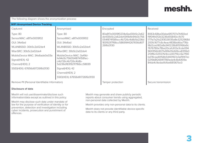The following diagram shows the anonymization process:

| <b>WiFi Anonymised Device Tracking</b>                                                                                                                                                                          |                                                                                                                                                                                                                                                                                          |                                                                                                                                                  |                                                                                                                                                                                                                                                                                                                                                                         |
|-----------------------------------------------------------------------------------------------------------------------------------------------------------------------------------------------------------------|------------------------------------------------------------------------------------------------------------------------------------------------------------------------------------------------------------------------------------------------------------------------------------------|--------------------------------------------------------------------------------------------------------------------------------------------------|-------------------------------------------------------------------------------------------------------------------------------------------------------------------------------------------------------------------------------------------------------------------------------------------------------------------------------------------------------------------------|
| Captured                                                                                                                                                                                                        | Anonymised                                                                                                                                                                                                                                                                               | Encrypted                                                                                                                                        | Received                                                                                                                                                                                                                                                                                                                                                                |
| Type: 80<br>SensorMAC: a8f7e0009f02<br>OUI: 34e6ad<br>WLANBSSID: 30b5c2a02de4<br>WlanSRC: 30b5c2a02de4<br>MobileDevice MAC: 34e6ade0e03e<br>Signal(HEX): 42<br>Channel(HEX): 2<br>SSID(HEX): 67656d61726f6d3130 | Type: 80<br>SensorMAC: a8f7e0009f02<br>OUI: 34e6ad<br>WLANBSSID: 30b5c2a02de4<br>WlanSRC: 30b5c2a02de4<br>MobileDevice MAC: 3a49d-<br>fe94d3c756054f8741581ec-<br>c4b726c4b726c4b8b-<br>5d236d1831921f7f66cc58699<br>Signal(HEX): 42<br>Channel(HEX): 2<br>SSID(HEX): 67656d61726f6d3130 | 80a8f7e0009f0234e6ad30b5c2a62<br>de430b5c2a62de4349dfe94d3c756<br>054f8741581ecc4b726c4b8b5d236d<br>1831921f7f66cc5869944267656d617<br>26f6d3130 | 8063c68ba30abe6f0707a7b160ed<br>f9f04fe012b3236d55843cc1b70<br>1771a7a2fa23f3026135a8e3252968d<br>200fc1677c6c4eac4838bb6ba776b<br>18d2ced182a8a340228b8151166a9c<br>7676780e78ba20ca1c612e3cde094<br>9610f56b9071a99b05dfd9ce8319b0<br>213ff6c02557fe9cce00719cc6e7190<br>bd78caa44158b54401167e3af9147ec<br>0219b8f269417961eda4c8e6409a<br>84da4c9edad1b1be681367bc0 |
| Remove PII (Personal Identifiable Information)                                                                                                                                                                  |                                                                                                                                                                                                                                                                                          | Tamper protection                                                                                                                                | Secure transmission                                                                                                                                                                                                                                                                                                                                                     |

## **Disclosure of data**

Meshh will not use/disseminate/disclose such information/data except as outlined in this policy.

Meshh may disclose such data under mandate of law for the purpose of verification of identity or for prevention, detection and investigation including cyber incidents, prosecution and punishment of offences.

Meshh may generate and share publicly periodic reports about consumer trends using aggregated, non-personal data collected by Meshh.

Meshh provides only non-personal data to its clients.

Meshh does not provide identifiable device-specific data to its clients or any third party.